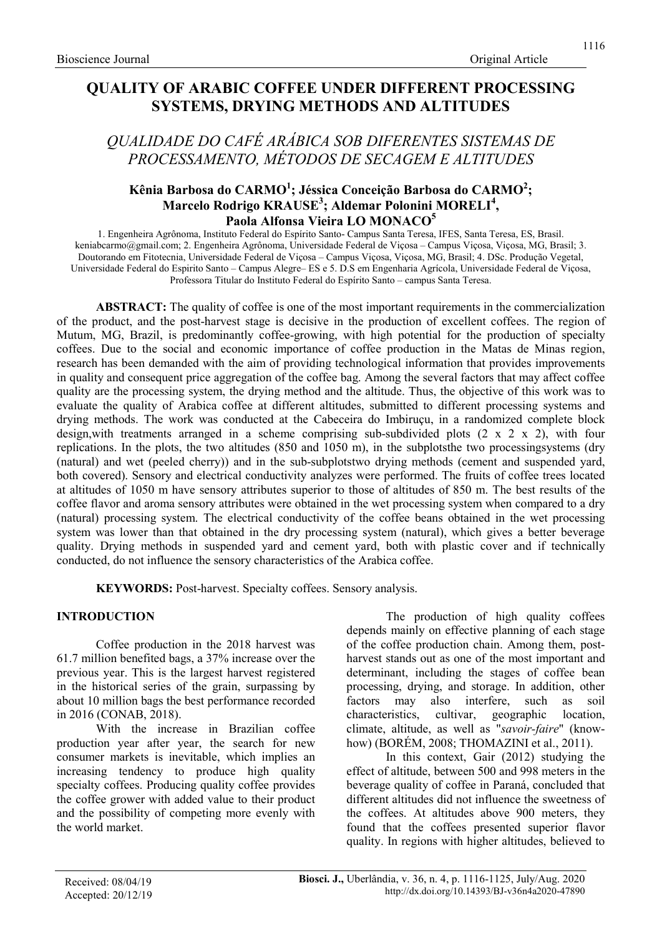# QUALITY OF ARABIC COFFEE UNDER DIFFERENT PROCESSING SYSTEMS, DRYING METHODS AND ALTITUDES

# QUALIDADE DO CAFÉ ARÁBICA SOB DIFERENTES SISTEMAS DE PROCESSAMENTO, MÉTODOS DE SECAGEM E ALTITUDES

### Kênia Barbosa do CARMO $^1$ ; Jéssica Conceição Barbosa do CARMO $^2$ ; Marcelo Rodrigo KRAUSE<sup>3</sup>; Aldemar Polonini MORELI<sup>4</sup>, Paola Alfonsa Vieira LO MONACO<sup>5</sup>

1. Engenheira Agrônoma, Instituto Federal do Espírito Santo- Campus Santa Teresa, IFES, Santa Teresa, ES, Brasil. keniabcarmo@gmail.com; 2. Engenheira Agrônoma, Universidade Federal de Viçosa – Campus Viçosa, Viçosa, MG, Brasil; 3. Doutorando em Fitotecnia, Universidade Federal de Viçosa – Campus Viçosa, Viçosa, MG, Brasil; 4. DSc. Produção Vegetal, Universidade Federal do Espirito Santo – Campus Alegre– ES e 5. D.S em Engenharia Agrícola, Universidade Federal de Viçosa, Professora Titular do Instituto Federal do Espírito Santo – campus Santa Teresa.

ABSTRACT: The quality of coffee is one of the most important requirements in the commercialization of the product, and the post-harvest stage is decisive in the production of excellent coffees. The region of Mutum, MG, Brazil, is predominantly coffee-growing, with high potential for the production of specialty coffees. Due to the social and economic importance of coffee production in the Matas de Minas region, research has been demanded with the aim of providing technological information that provides improvements in quality and consequent price aggregation of the coffee bag. Among the several factors that may affect coffee quality are the processing system, the drying method and the altitude. Thus, the objective of this work was to evaluate the quality of Arabica coffee at different altitudes, submitted to different processing systems and drying methods. The work was conducted at the Cabeceira do Imbiruçu, in a randomized complete block design, with treatments arranged in a scheme comprising sub-subdivided plots  $(2 \times 2 \times 2)$ , with four replications. In the plots, the two altitudes (850 and 1050 m), in the subplotsthe two processingsystems (dry (natural) and wet (peeled cherry)) and in the sub-subplotstwo drying methods (cement and suspended yard, both covered). Sensory and electrical conductivity analyzes were performed. The fruits of coffee trees located at altitudes of 1050 m have sensory attributes superior to those of altitudes of 850 m. The best results of the coffee flavor and aroma sensory attributes were obtained in the wet processing system when compared to a dry (natural) processing system. The electrical conductivity of the coffee beans obtained in the wet processing system was lower than that obtained in the dry processing system (natural), which gives a better beverage quality. Drying methods in suspended yard and cement yard, both with plastic cover and if technically conducted, do not influence the sensory characteristics of the Arabica coffee.

KEYWORDS: Post-harvest. Specialty coffees. Sensory analysis.

### INTRODUCTION

Coffee production in the 2018 harvest was 61.7 million benefited bags, a 37% increase over the previous year. This is the largest harvest registered in the historical series of the grain, surpassing by about 10 million bags the best performance recorded in 2016 (CONAB, 2018).

With the increase in Brazilian coffee production year after year, the search for new consumer markets is inevitable, which implies an increasing tendency to produce high quality specialty coffees. Producing quality coffee provides the coffee grower with added value to their product and the possibility of competing more evenly with the world market.

The production of high quality coffees depends mainly on effective planning of each stage of the coffee production chain. Among them, postharvest stands out as one of the most important and determinant, including the stages of coffee bean processing, drying, and storage. In addition, other factors may also interfere, such as soil characteristics, cultivar, geographic location, climate, altitude, as well as "savoir-faire" (knowhow) (BORÉM, 2008; THOMAZINI et al., 2011).

In this context, Gair (2012) studying the effect of altitude, between 500 and 998 meters in the beverage quality of coffee in Paraná, concluded that different altitudes did not influence the sweetness of the coffees. At altitudes above 900 meters, they found that the coffees presented superior flavor quality. In regions with higher altitudes, believed to

1116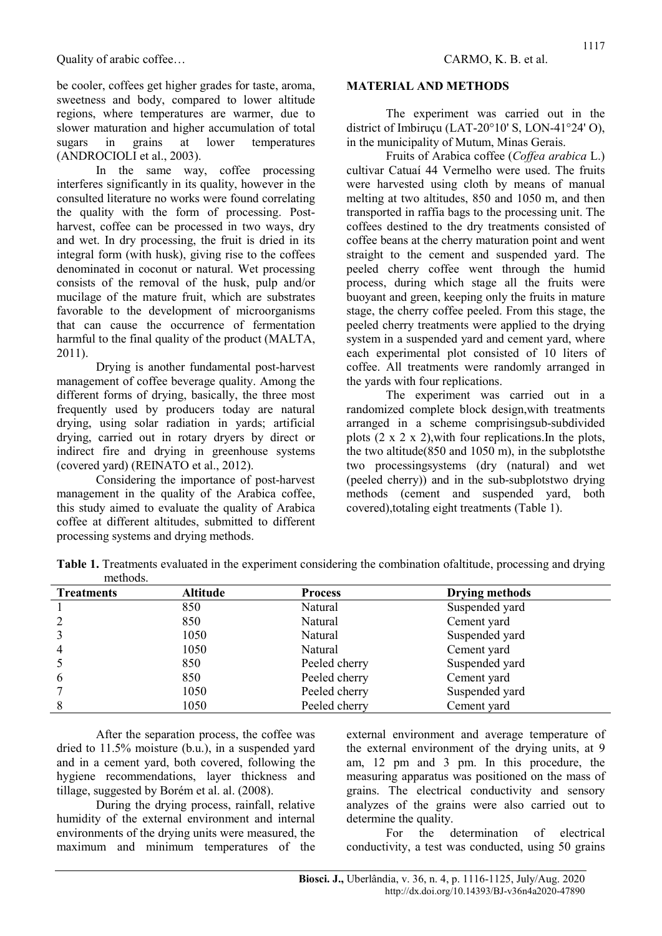be cooler, coffees get higher grades for taste, aroma, sweetness and body, compared to lower altitude regions, where temperatures are warmer, due to slower maturation and higher accumulation of total sugars in grains at lower temperatures (ANDROCIOLI et al., 2003).

In the same way, coffee processing interferes significantly in its quality, however in the consulted literature no works were found correlating the quality with the form of processing. Postharvest, coffee can be processed in two ways, dry and wet. In dry processing, the fruit is dried in its integral form (with husk), giving rise to the coffees denominated in coconut or natural. Wet processing consists of the removal of the husk, pulp and/or mucilage of the mature fruit, which are substrates favorable to the development of microorganisms that can cause the occurrence of fermentation harmful to the final quality of the product (MALTA, 2011).

Drying is another fundamental post-harvest management of coffee beverage quality. Among the different forms of drying, basically, the three most frequently used by producers today are natural drying, using solar radiation in yards; artificial drying, carried out in rotary dryers by direct or indirect fire and drying in greenhouse systems (covered yard) (REINATO et al., 2012).

Considering the importance of post-harvest management in the quality of the Arabica coffee, this study aimed to evaluate the quality of Arabica coffee at different altitudes, submitted to different processing systems and drying methods.

#### MATERIAL AND METHODS

The experiment was carried out in the district of Imbiruçu (LAT-20°10' S, LON-41°24' O), in the municipality of Mutum, Minas Gerais.

Fruits of Arabica coffee (Coffea arabica L.) cultivar Catuaí 44 Vermelho were used. The fruits were harvested using cloth by means of manual melting at two altitudes, 850 and 1050 m, and then transported in raffia bags to the processing unit. The coffees destined to the dry treatments consisted of coffee beans at the cherry maturation point and went straight to the cement and suspended yard. The peeled cherry coffee went through the humid process, during which stage all the fruits were buoyant and green, keeping only the fruits in mature stage, the cherry coffee peeled. From this stage, the peeled cherry treatments were applied to the drying system in a suspended yard and cement yard, where each experimental plot consisted of 10 liters of coffee. All treatments were randomly arranged in the yards with four replications.

The experiment was carried out in a randomized complete block design,with treatments arranged in a scheme comprisingsub-subdivided plots  $(2 \times 2 \times 2)$ , with four replications. In the plots, the two altitude(850 and 1050 m), in the subplotsthe two processingsystems (dry (natural) and wet (peeled cherry)) and in the sub-subplotstwo drying methods (cement and suspended yard, both covered),totaling eight treatments (Table 1).

| <b>Treatments</b> | <b>Altitude</b> | <b>Process</b> | <b>Drying methods</b> |
|-------------------|-----------------|----------------|-----------------------|
|                   | 850             | Natural        | Suspended yard        |
|                   | 850             | Natural        | Cement yard           |
|                   | 1050            | Natural        | Suspended yard        |
| $\overline{4}$    | 1050            | Natural        | Cement yard           |
|                   | 850             | Peeled cherry  | Suspended yard        |
| 6                 | 850             | Peeled cherry  | Cement yard           |
|                   | 1050            | Peeled cherry  | Suspended yard        |
|                   | 1050            | Peeled cherry  | Cement yard           |

Table 1. Treatments evaluated in the experiment considering the combination ofaltitude, processing and drying methods.

After the separation process, the coffee was dried to 11.5% moisture (b.u.), in a suspended yard and in a cement yard, both covered, following the hygiene recommendations, layer thickness and tillage, suggested by Borém et al. al. (2008).

During the drying process, rainfall, relative humidity of the external environment and internal environments of the drying units were measured, the maximum and minimum temperatures of the external environment and average temperature of the external environment of the drying units, at 9 am, 12 pm and 3 pm. In this procedure, the measuring apparatus was positioned on the mass of grains. The electrical conductivity and sensory analyzes of the grains were also carried out to determine the quality.

For the determination of electrical conductivity, a test was conducted, using 50 grains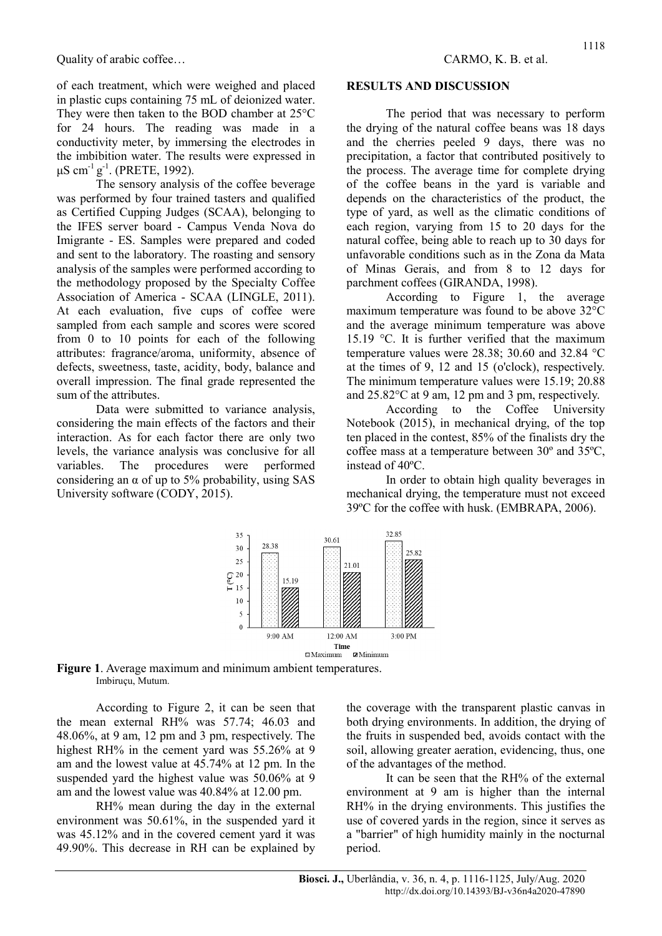of each treatment, which were weighed and placed in plastic cups containing 75 mL of deionized water. They were then taken to the BOD chamber at 25°C for 24 hours. The reading was made in a conductivity meter, by immersing the electrodes in the imbibition water. The results were expressed in  $μS cm<sup>-1</sup> g<sup>-1</sup>$ . (PRETE, 1992).

The sensory analysis of the coffee beverage was performed by four trained tasters and qualified as Certified Cupping Judges (SCAA), belonging to the IFES server board - Campus Venda Nova do Imigrante - ES. Samples were prepared and coded and sent to the laboratory. The roasting and sensory analysis of the samples were performed according to the methodology proposed by the Specialty Coffee Association of America - SCAA (LINGLE, 2011). At each evaluation, five cups of coffee were sampled from each sample and scores were scored from 0 to 10 points for each of the following attributes: fragrance/aroma, uniformity, absence of defects, sweetness, taste, acidity, body, balance and overall impression. The final grade represented the sum of the attributes.

Data were submitted to variance analysis, considering the main effects of the factors and their interaction. As for each factor there are only two levels, the variance analysis was conclusive for all variables. The procedures were performed considering an  $\alpha$  of up to 5% probability, using SAS University software (CODY, 2015).

#### RESULTS AND DISCUSSION

The period that was necessary to perform the drying of the natural coffee beans was 18 days and the cherries peeled 9 days, there was no precipitation, a factor that contributed positively to the process. The average time for complete drying of the coffee beans in the yard is variable and depends on the characteristics of the product, the type of yard, as well as the climatic conditions of each region, varying from 15 to 20 days for the natural coffee, being able to reach up to 30 days for unfavorable conditions such as in the Zona da Mata of Minas Gerais, and from 8 to 12 days for parchment coffees (GIRANDA, 1998).

According to Figure 1, the average maximum temperature was found to be above 32°C and the average minimum temperature was above 15.19 °C. It is further verified that the maximum temperature values were 28.38; 30.60 and 32.84 °C at the times of 9, 12 and 15 (o'clock), respectively. The minimum temperature values were 15.19; 20.88 and 25.82°C at 9 am, 12 pm and 3 pm, respectively.

According to the Coffee University Notebook (2015), in mechanical drying, of the top ten placed in the contest, 85% of the finalists dry the coffee mass at a temperature between 30º and 35ºC, instead of 40ºC.

In order to obtain high quality beverages in mechanical drying, the temperature must not exceed 39ºC for the coffee with husk. (EMBRAPA, 2006).





According to Figure 2, it can be seen that the mean external RH% was 57.74; 46.03 and 48.06%, at 9 am, 12 pm and 3 pm, respectively. The highest RH% in the cement yard was 55.26% at 9 am and the lowest value at 45.74% at 12 pm. In the suspended yard the highest value was 50.06% at 9 am and the lowest value was 40.84% at 12.00 pm.

RH% mean during the day in the external environment was 50.61%, in the suspended yard it was 45.12% and in the covered cement yard it was 49.90%. This decrease in RH can be explained by

the coverage with the transparent plastic canvas in both drying environments. In addition, the drying of the fruits in suspended bed, avoids contact with the soil, allowing greater aeration, evidencing, thus, one of the advantages of the method.

It can be seen that the RH% of the external environment at 9 am is higher than the internal RH% in the drying environments. This justifies the use of covered yards in the region, since it serves as a "barrier" of high humidity mainly in the nocturnal period.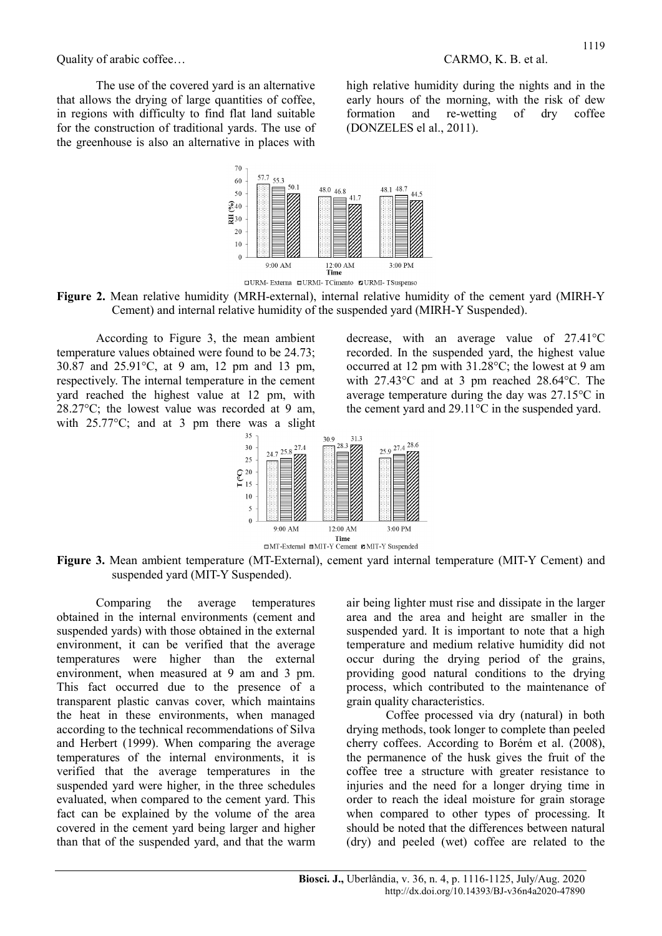The use of the covered yard is an alternative that allows the drying of large quantities of coffee, in regions with difficulty to find flat land suitable for the construction of traditional yards. The use of the greenhouse is also an alternative in places with

70

high relative humidity during the nights and in the early hours of the morning, with the risk of dew formation and re-wetting of dry coffee (DONZELES el al., 2011).







According to Figure 3, the mean ambient temperature values obtained were found to be 24.73; 30.87 and 25.91°C, at 9 am, 12 pm and 13 pm, respectively. The internal temperature in the cement yard reached the highest value at 12 pm, with 28.27°C; the lowest value was recorded at 9 am, with 25.77 °C; and at 3 pm there was a slight decrease, with an average value of 27.41°C recorded. In the suspended yard, the highest value occurred at 12 pm with 31.28°C; the lowest at 9 am with 27.43°C and at 3 pm reached 28.64°C. The average temperature during the day was 27.15°C in the cement yard and 29.11°C in the suspended yard.



Figure 3. Mean ambient temperature (MT-External), cement yard internal temperature (MIT-Y Cement) and suspended yard (MIT-Y Suspended).

Comparing the average temperatures obtained in the internal environments (cement and suspended yards) with those obtained in the external environment, it can be verified that the average temperatures were higher than the external environment, when measured at 9 am and 3 pm. This fact occurred due to the presence of a transparent plastic canvas cover, which maintains the heat in these environments, when managed according to the technical recommendations of Silva and Herbert (1999). When comparing the average temperatures of the internal environments, it is verified that the average temperatures in the suspended yard were higher, in the three schedules evaluated, when compared to the cement yard. This fact can be explained by the volume of the area covered in the cement yard being larger and higher than that of the suspended yard, and that the warm air being lighter must rise and dissipate in the larger area and the area and height are smaller in the suspended yard. It is important to note that a high temperature and medium relative humidity did not occur during the drying period of the grains, providing good natural conditions to the drying process, which contributed to the maintenance of grain quality characteristics.

Coffee processed via dry (natural) in both drying methods, took longer to complete than peeled cherry coffees. According to Borém et al. (2008), the permanence of the husk gives the fruit of the coffee tree a structure with greater resistance to injuries and the need for a longer drying time in order to reach the ideal moisture for grain storage when compared to other types of processing. It should be noted that the differences between natural (dry) and peeled (wet) coffee are related to the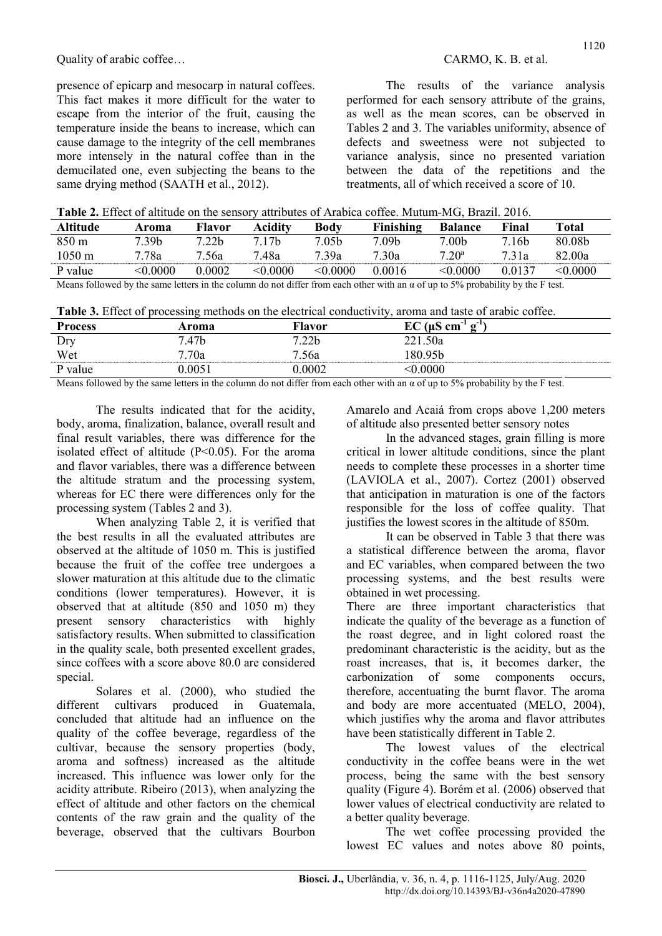presence of epicarp and mesocarp in natural coffees. This fact makes it more difficult for the water to escape from the interior of the fruit, causing the temperature inside the beans to increase, which can cause damage to the integrity of the cell membranes more intensely in the natural coffee than in the demucilated one, even subjecting the beans to the same drying method (SAATH et al., 2012).

The results of the variance analysis performed for each sensory attribute of the grains, as well as the mean scores, can be observed in Tables 2 and 3. The variables uniformity, absence of defects and sweetness were not subjected to variance analysis, since no presented variation between the data of the repetitions and the treatments, all of which received a score of 10.

| Table 2. Effect of altitude on the sensory attributes of Arabica coffee. Mutum-MG, Brazil. 2016. |  |  |
|--------------------------------------------------------------------------------------------------|--|--|
|--------------------------------------------------------------------------------------------------|--|--|

| Altitude         | Aroma            | Flavor            | Aciditv           | Bodv              | Finishing | <b>Balance</b>    | Final             | Total    |
|------------------|------------------|-------------------|-------------------|-------------------|-----------|-------------------|-------------------|----------|
| $850 \text{ m}$  | 7.39b            | 7.22 <sub>b</sub> | 7.17 <sub>b</sub> | 7.05 <sub>b</sub> | 7.09b     | 7.00 <sub>b</sub> | 7.16 <sub>b</sub> | 80.08b   |
| $1050 \text{ m}$ | <sup>-</sup> 78a | 7.56a             | 7.48a             | 739a              | 7.30a     | $7.20^{\rm a}$    | 7.31a             | 82.00a   |
| P value          | <0.0000          | 0.0002            | $<$ 0.0000        | < 0.0000          | 0.0016    | < 0.0000          | 0.0137            | < 0.0000 |

Means followed by the same letters in the column do not differ from each other with an  $\alpha$  of up to 5% probability by the F test.

Table 3. Effect of processing methods on the electrical conductivity, aroma and taste of arabic coffee.

| <b>Process</b> | Aroma  | Flavor            | $EC$ ( $\mu$ S<br>$\alpha^{-1}$<br>cm |
|----------------|--------|-------------------|---------------------------------------|
| Dry            | .47b   | 7.22 <sub>b</sub> | 1.50a                                 |
| Wet            | 7.70a  | 7.56a             | 80.95b                                |
| P value        | 0.0051 | 0.0002            | $<\!\!0.0000$                         |

Means followed by the same letters in the column do not differ from each other with an  $\alpha$  of up to 5% probability by the F test.

The results indicated that for the acidity, body, aroma, finalization, balance, overall result and final result variables, there was difference for the isolated effect of altitude  $(P<0.05)$ . For the aroma and flavor variables, there was a difference between the altitude stratum and the processing system, whereas for EC there were differences only for the processing system (Tables 2 and 3).

When analyzing Table 2, it is verified that the best results in all the evaluated attributes are observed at the altitude of 1050 m. This is justified because the fruit of the coffee tree undergoes a slower maturation at this altitude due to the climatic conditions (lower temperatures). However, it is observed that at altitude (850 and 1050 m) they present sensory characteristics with highly satisfactory results. When submitted to classification in the quality scale, both presented excellent grades, since coffees with a score above 80.0 are considered special.

Solares et al. (2000), who studied the different cultivars produced in Guatemala, concluded that altitude had an influence on the quality of the coffee beverage, regardless of the cultivar, because the sensory properties (body, aroma and softness) increased as the altitude increased. This influence was lower only for the acidity attribute. Ribeiro (2013), when analyzing the effect of altitude and other factors on the chemical contents of the raw grain and the quality of the beverage, observed that the cultivars Bourbon Amarelo and Acaiá from crops above 1,200 meters of altitude also presented better sensory notes

In the advanced stages, grain filling is more critical in lower altitude conditions, since the plant needs to complete these processes in a shorter time (LAVIOLA et al., 2007). Cortez (2001) observed that anticipation in maturation is one of the factors responsible for the loss of coffee quality. That justifies the lowest scores in the altitude of 850m.

It can be observed in Table 3 that there was a statistical difference between the aroma, flavor and EC variables, when compared between the two processing systems, and the best results were obtained in wet processing.

There are three important characteristics that indicate the quality of the beverage as a function of the roast degree, and in light colored roast the predominant characteristic is the acidity, but as the roast increases, that is, it becomes darker, the carbonization of some components occurs, therefore, accentuating the burnt flavor. The aroma and body are more accentuated (MELO, 2004), which justifies why the aroma and flavor attributes have been statistically different in Table 2.

The lowest values of the electrical conductivity in the coffee beans were in the wet process, being the same with the best sensory quality (Figure 4). Borém et al. (2006) observed that lower values of electrical conductivity are related to a better quality beverage.

The wet coffee processing provided the lowest EC values and notes above 80 points,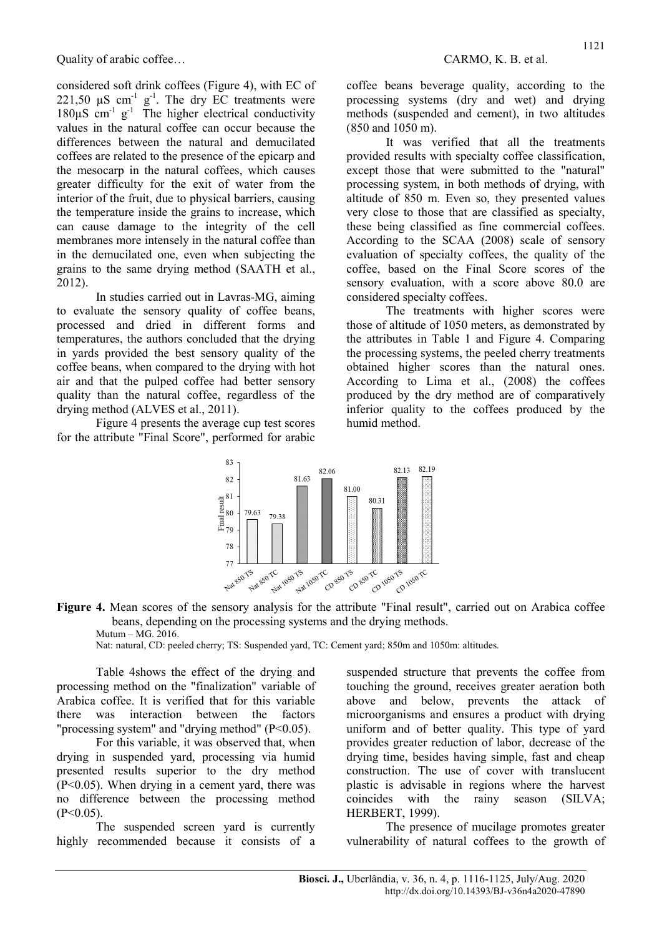considered soft drink coffees (Figure 4), with EC of 221,50  $\mu$ S cm<sup>-1</sup> g<sup>-1</sup>. The dry EC treatments were  $180 \mu S$  cm<sup>-1</sup> g<sup>-1</sup> The higher electrical conductivity values in the natural coffee can occur because the differences between the natural and demucilated coffees are related to the presence of the epicarp and the mesocarp in the natural coffees, which causes greater difficulty for the exit of water from the interior of the fruit, due to physical barriers, causing the temperature inside the grains to increase, which can cause damage to the integrity of the cell membranes more intensely in the natural coffee than in the demucilated one, even when subjecting the grains to the same drying method (SAATH et al., 2012).

In studies carried out in Lavras-MG, aiming to evaluate the sensory quality of coffee beans, processed and dried in different forms and temperatures, the authors concluded that the drying in yards provided the best sensory quality of the coffee beans, when compared to the drying with hot air and that the pulped coffee had better sensory quality than the natural coffee, regardless of the drying method (ALVES et al., 2011).

Figure 4 presents the average cup test scores for the attribute "Final Score", performed for arabic coffee beans beverage quality, according to the processing systems (dry and wet) and drying methods (suspended and cement), in two altitudes (850 and 1050 m).

It was verified that all the treatments provided results with specialty coffee classification, except those that were submitted to the "natural" processing system, in both methods of drying, with altitude of 850 m. Even so, they presented values very close to those that are classified as specialty, these being classified as fine commercial coffees. According to the SCAA (2008) scale of sensory evaluation of specialty coffees, the quality of the coffee, based on the Final Score scores of the sensory evaluation, with a score above 80.0 are considered specialty coffees.

The treatments with higher scores were those of altitude of 1050 meters, as demonstrated by the attributes in Table 1 and Figure 4. Comparing the processing systems, the peeled cherry treatments obtained higher scores than the natural ones. According to Lima et al., (2008) the coffees produced by the dry method are of comparatively inferior quality to the coffees produced by the humid method.



Figure 4. Mean scores of the sensory analysis for the attribute "Final result", carried out on Arabica coffee beans, depending on the processing systems and the drying methods. Mutum – MG. 2016.

Nat: natural, CD: peeled cherry; TS: Suspended yard, TC: Cement yard; 850m and 1050m: altitudes.

Table 4shows the effect of the drying and processing method on the "finalization" variable of Arabica coffee. It is verified that for this variable there was interaction between the factors "processing system" and "drying method"  $(P<0.05)$ .

For this variable, it was observed that, when drying in suspended yard, processing via humid presented results superior to the dry method  $(P<0.05)$ . When drying in a cement yard, there was no difference between the processing method  $(P<0.05)$ .

The suspended screen yard is currently highly recommended because it consists of a suspended structure that prevents the coffee from touching the ground, receives greater aeration both above and below, prevents the attack of microorganisms and ensures a product with drying uniform and of better quality. This type of yard provides greater reduction of labor, decrease of the drying time, besides having simple, fast and cheap construction. The use of cover with translucent plastic is advisable in regions where the harvest coincides with the rainy season (SILVA; HERBERT, 1999).

The presence of mucilage promotes greater vulnerability of natural coffees to the growth of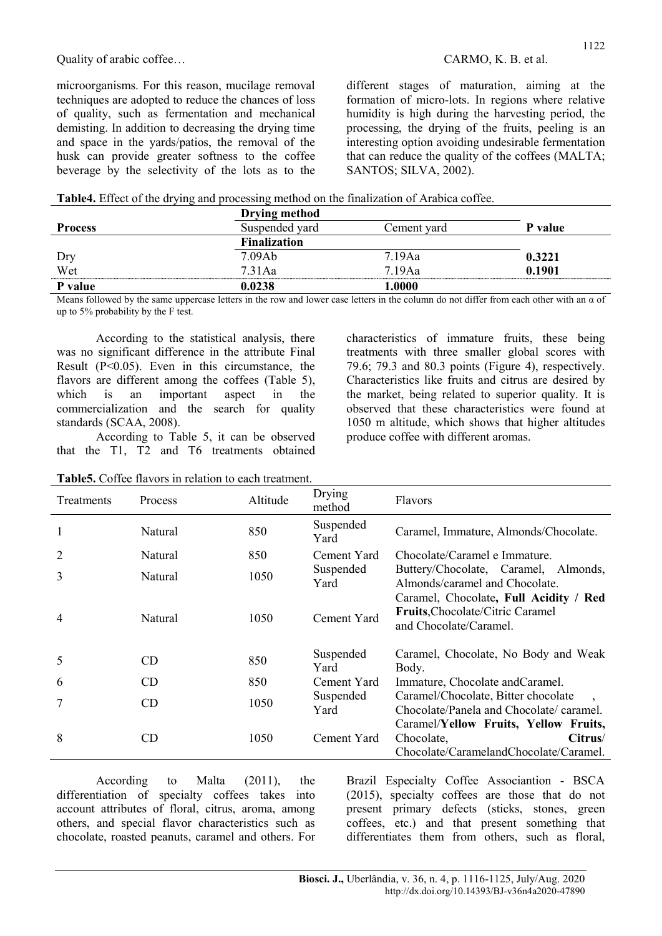microorganisms. For this reason, mucilage removal techniques are adopted to reduce the chances of loss of quality, such as fermentation and mechanical demisting. In addition to decreasing the drying time and space in the yards/patios, the removal of the husk can provide greater softness to the coffee beverage by the selectivity of the lots as to the different stages of maturation, aiming at the formation of micro-lots. In regions where relative humidity is high during the harvesting period, the processing, the drying of the fruits, peeling is an interesting option avoiding undesirable fermentation that can reduce the quality of the coffees (MALTA; SANTOS; SILVA, 2002).

|  |  |  | Table4. Effect of the drying and processing method on the finalization of Arabica coffee. |
|--|--|--|-------------------------------------------------------------------------------------------|
|  |  |  |                                                                                           |

|                | Drying method       |             |         |  |
|----------------|---------------------|-------------|---------|--|
| <b>Process</b> | Suspended yard      | Cement yard | P value |  |
|                | <b>Finalization</b> |             |         |  |
| Dry            | 7.09Ab              | 7.19Aa      | 0.3221  |  |
| Wet            | $7.31$ Aa           | 7.19Aa      | 0.1901  |  |
| P value        | 0.0238              | 1.0000      |         |  |

Means followed by the same uppercase letters in the row and lower case letters in the column do not differ from each other with an  $\alpha$  of up to 5% probability by the F test.

According to the statistical analysis, there was no significant difference in the attribute Final Result (P<0.05). Even in this circumstance, the flavors are different among the coffees (Table 5), which is an important aspect in the commercialization and the search for quality standards (SCAA, 2008).

According to Table 5, it can be observed that the T1, T2 and T6 treatments obtained

|  |  |  |  | <b>Table5.</b> Coffee flavors in relation to each treatment. |
|--|--|--|--|--------------------------------------------------------------|
|--|--|--|--|--------------------------------------------------------------|

characteristics of immature fruits, these being treatments with three smaller global scores with 79.6; 79.3 and 80.3 points (Figure 4), respectively. Characteristics like fruits and citrus are desired by the market, being related to superior quality. It is observed that these characteristics were found at 1050 m altitude, which shows that higher altitudes produce coffee with different aromas.

| <b>Treatments</b> | <b>Process</b> | Altitude | Drying<br>method  | <b>Flavors</b>                                                                                           |
|-------------------|----------------|----------|-------------------|----------------------------------------------------------------------------------------------------------|
|                   | Natural        | 850      | Suspended<br>Yard | Caramel, Immature, Almonds/Chocolate.                                                                    |
| 2                 | Natural        | 850      | Cement Yard       | Chocolate/Caramel e Immature.                                                                            |
| 3                 | Natural        | 1050     | Suspended<br>Yard | Buttery/Chocolate, Caramel, Almonds,<br>Almonds/caramel and Chocolate.                                   |
| 4                 | Natural        | 1050     | Cement Yard       | Caramel, Chocolate, Full Acidity / Red<br>Fruits, Chocolate/Citric Caramel<br>and Chocolate/Caramel.     |
| 5                 | CD             | 850      | Suspended<br>Yard | Caramel, Chocolate, No Body and Weak<br>Body.                                                            |
| 6                 | CD             | 850      | Cement Yard       | Immature, Chocolate and Caramel.                                                                         |
|                   | CD             | 1050     | Suspended<br>Yard | Caramel/Chocolate, Bitter chocolate<br>Chocolate/Panela and Chocolate/ caramel.                          |
| 8                 | CD             | 1050     | Cement Yard       | Caramel/Yellow Fruits, Yellow Fruits,<br>Citrus/<br>Chocolate,<br>Chocolate/CaramelandChocolate/Caramel. |

According to Malta (2011), the differentiation of specialty coffees takes into account attributes of floral, citrus, aroma, among others, and special flavor characteristics such as chocolate, roasted peanuts, caramel and others. For Brazil Especialty Coffee Associantion - BSCA (2015), specialty coffees are those that do not present primary defects (sticks, stones, green coffees, etc.) and that present something that differentiates them from others, such as floral,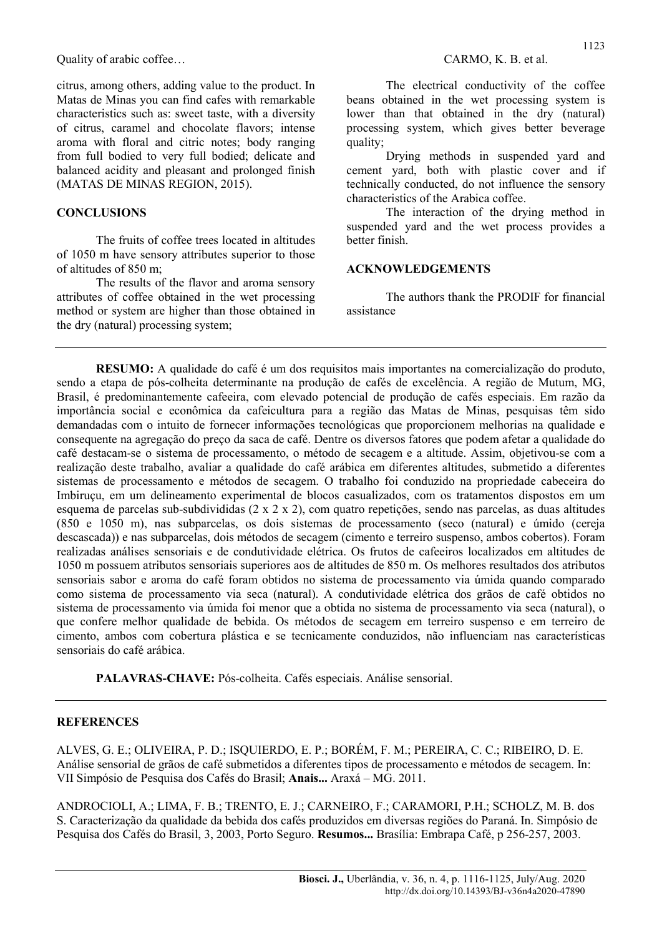citrus, among others, adding value to the product. In Matas de Minas you can find cafes with remarkable characteristics such as: sweet taste, with a diversity of citrus, caramel and chocolate flavors; intense aroma with floral and citric notes; body ranging from full bodied to very full bodied; delicate and balanced acidity and pleasant and prolonged finish (MATAS DE MINAS REGION, 2015).

#### **CONCLUSIONS**

The fruits of coffee trees located in altitudes of 1050 m have sensory attributes superior to those of altitudes of 850 m;

The results of the flavor and aroma sensory attributes of coffee obtained in the wet processing method or system are higher than those obtained in the dry (natural) processing system;

The electrical conductivity of the coffee beans obtained in the wet processing system is lower than that obtained in the dry (natural) processing system, which gives better beverage quality:

Drying methods in suspended yard and cement yard, both with plastic cover and if technically conducted, do not influence the sensory characteristics of the Arabica coffee.

The interaction of the drying method in suspended yard and the wet process provides a better finish.

#### ACKNOWLEDGEMENTS

The authors thank the PRODIF for financial assistance

RESUMO: A qualidade do café é um dos requisitos mais importantes na comercialização do produto, sendo a etapa de pós-colheita determinante na produção de cafés de excelência. A região de Mutum, MG, Brasil, é predominantemente cafeeira, com elevado potencial de produção de cafés especiais. Em razão da importância social e econômica da cafeicultura para a região das Matas de Minas, pesquisas têm sido demandadas com o intuito de fornecer informações tecnológicas que proporcionem melhorias na qualidade e consequente na agregação do preço da saca de café. Dentre os diversos fatores que podem afetar a qualidade do café destacam-se o sistema de processamento, o método de secagem e a altitude. Assim, objetivou-se com a realização deste trabalho, avaliar a qualidade do café arábica em diferentes altitudes, submetido a diferentes sistemas de processamento e métodos de secagem. O trabalho foi conduzido na propriedade cabeceira do Imbiruçu, em um delineamento experimental de blocos casualizados, com os tratamentos dispostos em um esquema de parcelas sub-subdivididas (2 x 2 x 2), com quatro repetições, sendo nas parcelas, as duas altitudes (850 e 1050 m), nas subparcelas, os dois sistemas de processamento (seco (natural) e úmido (cereja descascada)) e nas subparcelas, dois métodos de secagem (cimento e terreiro suspenso, ambos cobertos). Foram realizadas análises sensoriais e de condutividade elétrica. Os frutos de cafeeiros localizados em altitudes de 1050 m possuem atributos sensoriais superiores aos de altitudes de 850 m. Os melhores resultados dos atributos sensoriais sabor e aroma do café foram obtidos no sistema de processamento via úmida quando comparado como sistema de processamento via seca (natural). A condutividade elétrica dos grãos de café obtidos no sistema de processamento via úmida foi menor que a obtida no sistema de processamento via seca (natural), o que confere melhor qualidade de bebida. Os métodos de secagem em terreiro suspenso e em terreiro de cimento, ambos com cobertura plástica e se tecnicamente conduzidos, não influenciam nas características sensoriais do café arábica.

PALAVRAS-CHAVE: Pós-colheita. Cafés especiais. Análise sensorial.

#### **REFERENCES**

ALVES, G. E.; OLIVEIRA, P. D.; ISQUIERDO, E. P.; BORÉM, F. M.; PEREIRA, C. C.; RIBEIRO, D. E. Análise sensorial de grãos de café submetidos a diferentes tipos de processamento e métodos de secagem. In: VII Simpósio de Pesquisa dos Cafés do Brasil; Anais... Araxá – MG. 2011.

ANDROCIOLI, A.; LIMA, F. B.; TRENTO, E. J.; CARNEIRO, F.; CARAMORI, P.H.; SCHOLZ, M. B. dos S. Caracterização da qualidade da bebida dos cafés produzidos em diversas regiões do Paraná. In. Simpósio de Pesquisa dos Cafés do Brasil, 3, 2003, Porto Seguro. Resumos... Brasília: Embrapa Café, p 256-257, 2003.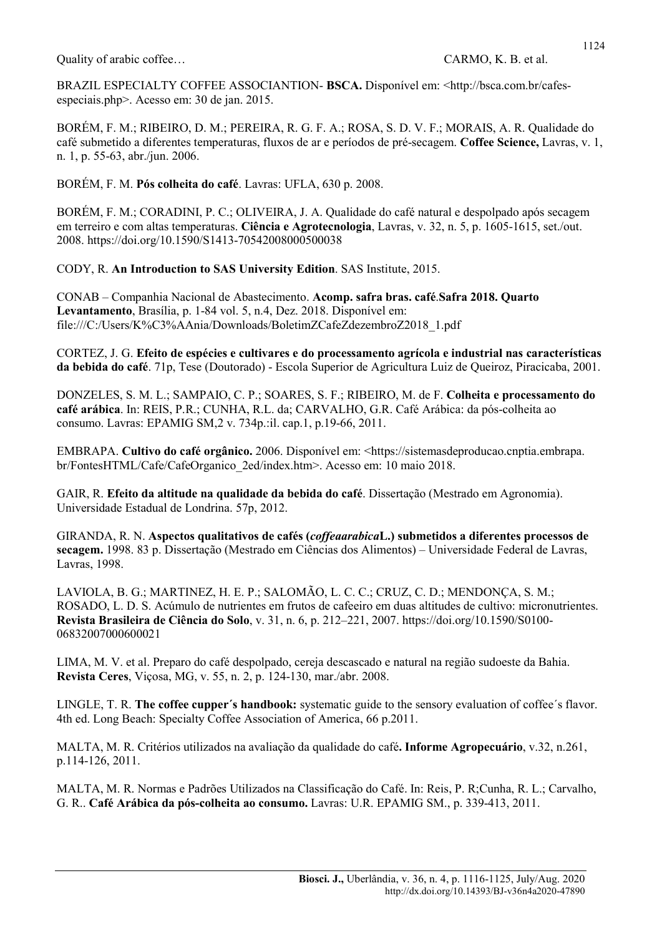Quality of arabic coffee... CARMO, K. B. et al.

BRAZIL ESPECIALTY COFFEE ASSOCIANTION- BSCA. Disponível em: <http://bsca.com.br/cafesespeciais.php>. Acesso em: 30 de jan. 2015.

BORÉM, F. M.; RIBEIRO, D. M.; PEREIRA, R. G. F. A.; ROSA, S. D. V. F.; MORAIS, A. R. Qualidade do café submetido a diferentes temperaturas, fluxos de ar e períodos de pré-secagem. Coffee Science, Lavras, v. 1, n. 1, p. 55-63, abr./jun. 2006.

BORÉM, F. M. Pós colheita do café. Lavras: UFLA, 630 p. 2008.

BORÉM, F. M.; CORADINI, P. C.; OLIVEIRA, J. A. Qualidade do café natural e despolpado após secagem em terreiro e com altas temperaturas. Ciência e Agrotecnologia, Lavras, v. 32, n. 5, p. 1605-1615, set./out. 2008. https://doi.org/10.1590/S1413-70542008000500038

CODY, R. An Introduction to SAS University Edition. SAS Institute, 2015.

CONAB – Companhia Nacional de Abastecimento. Acomp. safra bras. café.Safra 2018. Quarto Levantamento, Brasília, p. 1-84 vol. 5, n.4, Dez. 2018. Disponível em: file:///C:/Users/K%C3%AAnia/Downloads/BoletimZCafeZdezembroZ2018\_1.pdf

CORTEZ, J. G. Efeito de espécies e cultivares e do processamento agrícola e industrial nas características da bebida do café. 71p, Tese (Doutorado) - Escola Superior de Agricultura Luiz de Queiroz, Piracicaba, 2001.

DONZELES, S. M. L.; SAMPAIO, C. P.; SOARES, S. F.; RIBEIRO, M. de F. Colheita e processamento do café arábica. In: REIS, P.R.; CUNHA, R.L. da; CARVALHO, G.R. Café Arábica: da pós-colheita ao consumo. Lavras: EPAMIG SM,2 v. 734p.:il. cap.1, p.19-66, 2011.

EMBRAPA. Cultivo do café orgânico. 2006. Disponível em: <https://sistemasdeproducao.cnptia.embrapa. br/FontesHTML/Cafe/CafeOrganico\_2ed/index.htm>. Acesso em: 10 maio 2018.

GAIR, R. Efeito da altitude na qualidade da bebida do café. Dissertação (Mestrado em Agronomia). Universidade Estadual de Londrina. 57p, 2012.

GIRANDA, R. N. Aspectos qualitativos de cafés (coffeaarabicaL.) submetidos a diferentes processos de secagem. 1998. 83 p. Dissertação (Mestrado em Ciências dos Alimentos) – Universidade Federal de Lavras, Lavras, 1998.

LAVIOLA, B. G.; MARTINEZ, H. E. P.; SALOMÃO, L. C. C.; CRUZ, C. D.; MENDONÇA, S. M.; ROSADO, L. D. S. Acúmulo de nutrientes em frutos de cafeeiro em duas altitudes de cultivo: micronutrientes. Revista Brasileira de Ciência do Solo, v. 31, n. 6, p. 212–221, 2007. https://doi.org/10.1590/S0100- 06832007000600021

LIMA, M. V. et al. Preparo do café despolpado, cereja descascado e natural na região sudoeste da Bahia. Revista Ceres, Viçosa, MG, v. 55, n. 2, p. 124-130, mar./abr. 2008.

LINGLE, T. R. The coffee cupper's handbook: systematic guide to the sensory evaluation of coffee's flavor. 4th ed. Long Beach: Specialty Coffee Association of America, 66 p.2011.

MALTA, M. R. Critérios utilizados na avaliação da qualidade do café. Informe Agropecuário, v.32, n.261, p.114-126, 2011.

MALTA, M. R. Normas e Padrões Utilizados na Classificação do Café. In: Reis, P. R;Cunha, R. L.; Carvalho, G. R.. Café Arábica da pós-colheita ao consumo. Lavras: U.R. EPAMIG SM., p. 339-413, 2011.